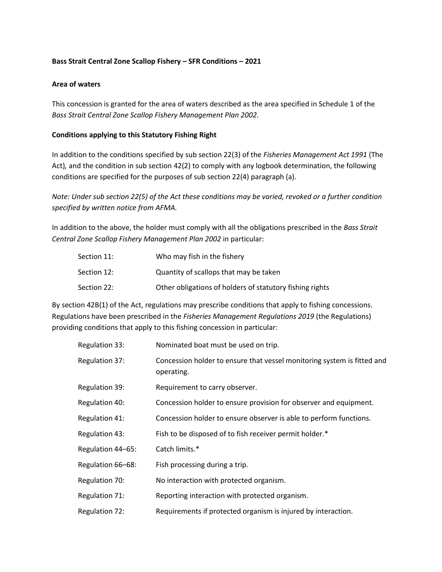## **Bass Strait Central Zone Scallop Fishery – SFR Conditions – 2021**

#### **Area of waters**

This concession is granted for the area of waters described as the area specified in Schedule 1 of the *Bass Strait Central Zone Scallop Fishery Management Plan 2002.*

#### **Conditions applying to this Statutory Fishing Right**

In addition to the conditions specified by sub section 22(3) of the *Fisheries Management Act 1991* (The Act)*,* and the condition in sub section 42(2) to comply with any logbook determination, the following conditions are specified for the purposes of sub section 22(4) paragraph (a).

*Note: Under sub section 22(5) of the Act these conditions may be varied, revoked or a further condition specified by written notice from AFMA.*

In addition to the above, the holder must comply with all the obligations prescribed in the *Bass Strait Central Zone Scallop Fishery Management Plan 2002* in particular:

| Section 11: | Who may fish in the fishery                              |
|-------------|----------------------------------------------------------|
| Section 12: | Quantity of scallops that may be taken                   |
| Section 22: | Other obligations of holders of statutory fishing rights |

By section 42B(1) of the Act, regulations may prescribe conditions that apply to fishing concessions. Regulations have been prescribed in the *Fisheries Management Regulations 2019* (the Regulations) providing conditions that apply to this fishing concession in particular:

| Regulation 33:    | Nominated boat must be used on trip.                                                  |
|-------------------|---------------------------------------------------------------------------------------|
| Regulation 37:    | Concession holder to ensure that vessel monitoring system is fitted and<br>operating. |
| Regulation 39:    | Requirement to carry observer.                                                        |
| Regulation 40:    | Concession holder to ensure provision for observer and equipment.                     |
| Regulation 41:    | Concession holder to ensure observer is able to perform functions.                    |
| Regulation 43:    | Fish to be disposed of to fish receiver permit holder.*                               |
| Regulation 44-65: | Catch limits.*                                                                        |
| Regulation 66-68: | Fish processing during a trip.                                                        |
| Regulation 70:    | No interaction with protected organism.                                               |
| Regulation 71:    | Reporting interaction with protected organism.                                        |
| Regulation 72:    | Requirements if protected organism is injured by interaction.                         |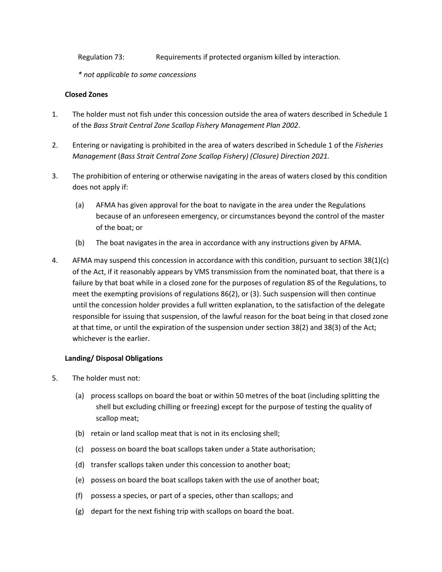Regulation 73: Requirements if protected organism killed by interaction.

*\* not applicable to some concessions*

### **Closed Zones**

- 1. The holder must not fish under this concession outside the area of waters described in Schedule 1 of the *Bass Strait Central Zone Scallop Fishery Management Plan 2002*.
- 2. Entering or navigating is prohibited in the area of waters described in Schedule 1 of the *Fisheries Management* (*Bass Strait Central Zone Scallop Fishery) (Closure) Direction 2021.*
- 3. The prohibition of entering or otherwise navigating in the areas of waters closed by this condition does not apply if:
	- (a) AFMA has given approval for the boat to navigate in the area under the Regulations because of an unforeseen emergency, or circumstances beyond the control of the master of the boat; or
	- (b) The boat navigates in the area in accordance with any instructions given by AFMA.
- 4. AFMA may suspend this concession in accordance with this condition, pursuant to section 38(1)(c) of the Act, if it reasonably appears by VMS transmission from the nominated boat, that there is a failure by that boat while in a closed zone for the purposes of regulation 85 of the Regulations, to meet the exempting provisions of regulations 86(2), or (3). Such suspension will then continue until the concession holder provides a full written explanation, to the satisfaction of the delegate responsible for issuing that suspension, of the lawful reason for the boat being in that closed zone at that time, or until the expiration of the suspension under section 38(2) and 38(3) of the Act; whichever is the earlier.

#### **Landing/ Disposal Obligations**

- 5. The holder must not:
	- (a) process scallops on board the boat or within 50 metres of the boat (including splitting the shell but excluding chilling or freezing) except for the purpose of testing the quality of scallop meat;
	- (b) retain or land scallop meat that is not in its enclosing shell;
	- (c) possess on board the boat scallops taken under a State authorisation;
	- (d) transfer scallops taken under this concession to another boat;
	- (e) possess on board the boat scallops taken with the use of another boat;
	- (f) possess a species, or part of a species, other than scallops; and
	- (g) depart for the next fishing trip with scallops on board the boat.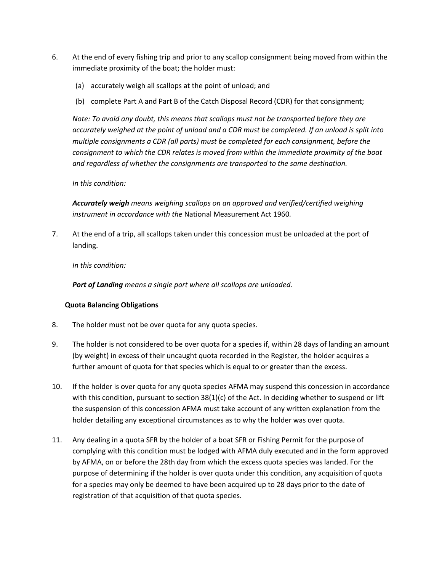- 6. At the end of every fishing trip and prior to any scallop consignment being moved from within the immediate proximity of the boat; the holder must:
	- (a) accurately weigh all scallops at the point of unload; and
	- (b) complete Part A and Part B of the Catch Disposal Record (CDR) for that consignment;

*Note: To avoid any doubt, this means that scallops must not be transported before they are accurately weighed at the point of unload and a CDR must be completed. If an unload is split into multiple consignments a CDR (all parts) must be completed for each consignment, before the consignment to which the CDR relates is moved from within the immediate proximity of the boat and regardless of whether the consignments are transported to the same destination.*

#### *In this condition:*

*Accurately weigh means weighing scallops on an approved and verified/certified weighing instrument in accordance with the* National Measurement Act 1960*.* 

7. At the end of a trip, all scallops taken under this concession must be unloaded at the port of landing.

*In this condition:*

*Port of Landing means a single port where all scallops are unloaded.*

#### **Quota Balancing Obligations**

- 8. The holder must not be over quota for any quota species.
- 9. The holder is not considered to be over quota for a species if, within 28 days of landing an amount (by weight) in excess of their uncaught quota recorded in the Register, the holder acquires a further amount of quota for that species which is equal to or greater than the excess.
- 10. If the holder is over quota for any quota species AFMA may suspend this concession in accordance with this condition, pursuant to section 38(1)(c) of the Act. In deciding whether to suspend or lift the suspension of this concession AFMA must take account of any written explanation from the holder detailing any exceptional circumstances as to why the holder was over quota.
- 11. Any dealing in a quota SFR by the holder of a boat SFR or Fishing Permit for the purpose of complying with this condition must be lodged with AFMA duly executed and in the form approved by AFMA, on or before the 28th day from which the excess quota species was landed. For the purpose of determining if the holder is over quota under this condition, any acquisition of quota for a species may only be deemed to have been acquired up to 28 days prior to the date of registration of that acquisition of that quota species.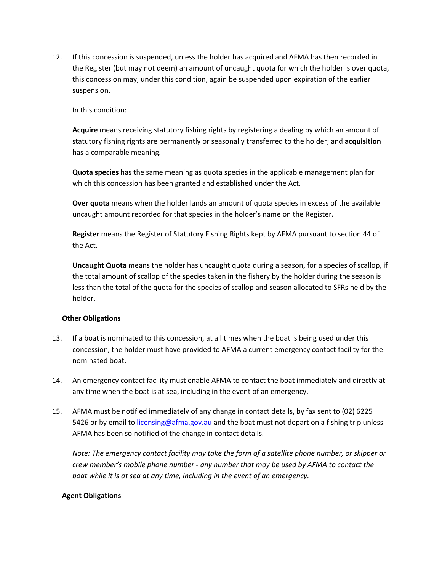12. If this concession is suspended, unless the holder has acquired and AFMA has then recorded in the Register (but may not deem) an amount of uncaught quota for which the holder is over quota, this concession may, under this condition, again be suspended upon expiration of the earlier suspension.

In this condition:

**Acquire** means receiving statutory fishing rights by registering a dealing by which an amount of statutory fishing rights are permanently or seasonally transferred to the holder; and **acquisition** has a comparable meaning.

**Quota species** has the same meaning as quota species in the applicable management plan for which this concession has been granted and established under the Act.

**Over quota** means when the holder lands an amount of quota species in excess of the available uncaught amount recorded for that species in the holder's name on the Register.

**Register** means the Register of Statutory Fishing Rights kept by AFMA pursuant to section 44 of the Act.

**Uncaught Quota** means the holder has uncaught quota during a season, for a species of scallop, if the total amount of scallop of the species taken in the fishery by the holder during the season is less than the total of the quota for the species of scallop and season allocated to SFRs held by the holder.

#### **Other Obligations**

- 13. If a boat is nominated to this concession, at all times when the boat is being used under this concession, the holder must have provided to AFMA a current emergency contact facility for the nominated boat.
- 14. An emergency contact facility must enable AFMA to contact the boat immediately and directly at any time when the boat is at sea, including in the event of an emergency.
- 15. AFMA must be notified immediately of any change in contact details, by fax sent to (02) 6225 5426 or by email to licensing@afma.gov.au and the boat must not depart on a fishing trip unless AFMA has been so notified of the change in contact details.

*Note: The emergency contact facility may take the form of a satellite phone number, or skipper or crew member's mobile phone number - any number that may be used by AFMA to contact the boat while it is at sea at any time, including in the event of an emergency.* 

#### **Agent Obligations**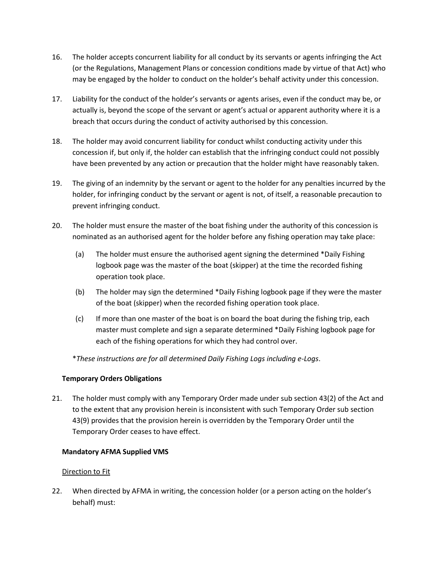- 16. The holder accepts concurrent liability for all conduct by its servants or agents infringing the Act (or the Regulations, Management Plans or concession conditions made by virtue of that Act) who may be engaged by the holder to conduct on the holder's behalf activity under this concession.
- 17. Liability for the conduct of the holder's servants or agents arises, even if the conduct may be, or actually is, beyond the scope of the servant or agent's actual or apparent authority where it is a breach that occurs during the conduct of activity authorised by this concession.
- 18. The holder may avoid concurrent liability for conduct whilst conducting activity under this concession if, but only if, the holder can establish that the infringing conduct could not possibly have been prevented by any action or precaution that the holder might have reasonably taken.
- 19. The giving of an indemnity by the servant or agent to the holder for any penalties incurred by the holder, for infringing conduct by the servant or agent is not, of itself, a reasonable precaution to prevent infringing conduct.
- 20. The holder must ensure the master of the boat fishing under the authority of this concession is nominated as an authorised agent for the holder before any fishing operation may take place:
	- (a) The holder must ensure the authorised agent signing the determined \*Daily Fishing logbook page was the master of the boat (skipper) at the time the recorded fishing operation took place.
	- (b) The holder may sign the determined \*Daily Fishing logbook page if they were the master of the boat (skipper) when the recorded fishing operation took place.
	- (c) If more than one master of the boat is on board the boat during the fishing trip, each master must complete and sign a separate determined \*Daily Fishing logbook page for each of the fishing operations for which they had control over.

\**These instructions are for all determined Daily Fishing Logs including e-Logs*.

## **Temporary Orders Obligations**

21. The holder must comply with any Temporary Order made under sub section 43(2) of the Act and to the extent that any provision herein is inconsistent with such Temporary Order sub section 43(9) provides that the provision herein is overridden by the Temporary Order until the Temporary Order ceases to have effect.

# **Mandatory AFMA Supplied VMS**

## Direction to Fit

22. When directed by AFMA in writing, the concession holder (or a person acting on the holder's behalf) must: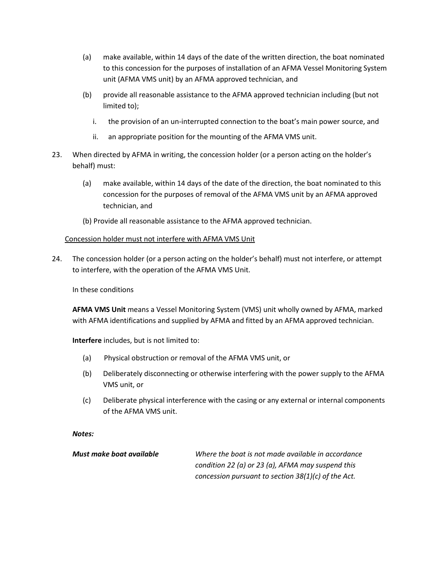- (a) make available, within 14 days of the date of the written direction, the boat nominated to this concession for the purposes of installation of an AFMA Vessel Monitoring System unit (AFMA VMS unit) by an AFMA approved technician, and
- (b) provide all reasonable assistance to the AFMA approved technician including (but not limited to);
	- i. the provision of an un-interrupted connection to the boat's main power source, and
	- ii. an appropriate position for the mounting of the AFMA VMS unit.
- 23. When directed by AFMA in writing, the concession holder (or a person acting on the holder's behalf) must:
	- (a) make available, within 14 days of the date of the direction, the boat nominated to this concession for the purposes of removal of the AFMA VMS unit by an AFMA approved technician, and
	- (b) Provide all reasonable assistance to the AFMA approved technician.

#### Concession holder must not interfere with AFMA VMS Unit

24. The concession holder (or a person acting on the holder's behalf) must not interfere, or attempt to interfere, with the operation of the AFMA VMS Unit.

In these conditions

**AFMA VMS Unit** means a Vessel Monitoring System (VMS) unit wholly owned by AFMA, marked with AFMA identifications and supplied by AFMA and fitted by an AFMA approved technician.

**Interfere** includes, but is not limited to:

- (a) Physical obstruction or removal of the AFMA VMS unit, or
- (b) Deliberately disconnecting or otherwise interfering with the power supply to the AFMA VMS unit, or
- (c) Deliberate physical interference with the casing or any external or internal components of the AFMA VMS unit.

#### *Notes:*

*Must make boat available Where the boat is not made available in accordance condition 22 (a) or 23 (a), AFMA may suspend this concession pursuant to section 38(1)(c) of the Act.*